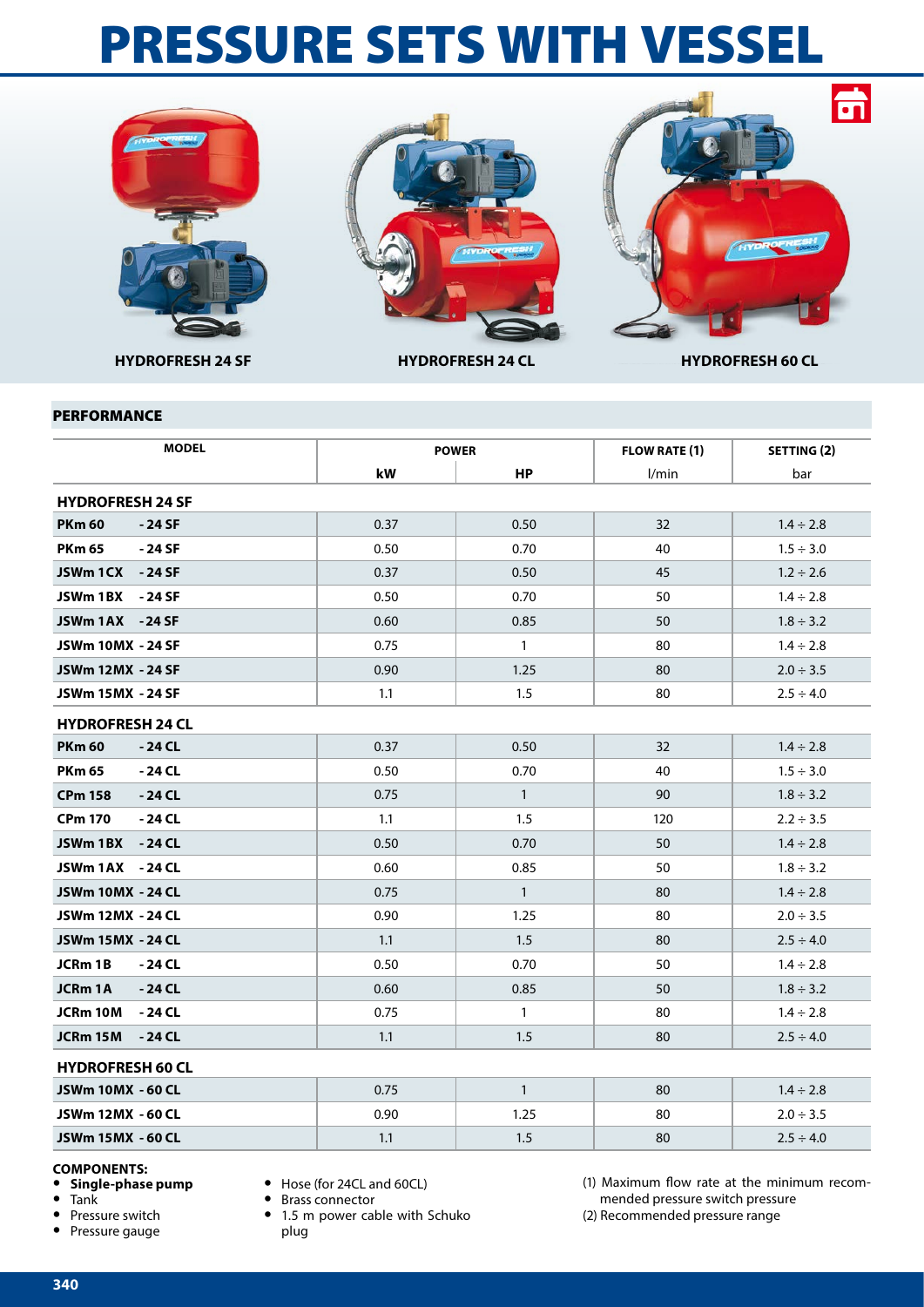## PRESSURE SETS WITH VESSEL







**HYDROFRESH 24 SF HYDROFRESH 24 CL HYDROFRESH 60 CL**

## PERFORMANCE

| <b>MODEL</b>              |      | <b>POWER</b> | <b>FLOW RATE (1)</b> | SETTING (2)    |  |  |  |  |
|---------------------------|------|--------------|----------------------|----------------|--|--|--|--|
|                           | kW   | <b>HP</b>    | l/min                | bar            |  |  |  |  |
| <b>HYDROFRESH 24 SF</b>   |      |              |                      |                |  |  |  |  |
| <b>PKm 60</b><br>- 24 SF  | 0.37 | 0.50         | 32                   | $1.4 \div 2.8$ |  |  |  |  |
| <b>PKm 65</b><br>- 24 SF  | 0.50 | 0.70         | 40                   | $1.5 \div 3.0$ |  |  |  |  |
| JSWm 1CX - 24 SF          | 0.37 | 0.50         | 45                   | $1.2 \div 2.6$ |  |  |  |  |
| JSWm 1BX<br>- 24 SF       | 0.50 | 0.70         | 50                   | $1.4 \div 2.8$ |  |  |  |  |
| JSWm 1AX -24 SF           | 0.60 | 0.85         | 50                   | $1.8 \div 3.2$ |  |  |  |  |
| JSWm 10MX - 24 SF         | 0.75 | $\mathbf{1}$ | 80                   | $1.4 \div 2.8$ |  |  |  |  |
| JSWm 12MX - 24 SF         | 0.90 | 1.25         | 80                   | $2.0 \div 3.5$ |  |  |  |  |
| JSWm 15MX - 24 SF         | 1.1  | 1.5          | 80                   | $2.5 \div 4.0$ |  |  |  |  |
| <b>HYDROFRESH 24 CL</b>   |      |              |                      |                |  |  |  |  |
| <b>PKm 60</b><br>- 24 CL  | 0.37 | 0.50         | 32                   | $1.4 \div 2.8$ |  |  |  |  |
| <b>PKm 65</b><br>- 24 CL  | 0.50 | 0.70         | 40                   | $1.5 \div 3.0$ |  |  |  |  |
| <b>CPm 158</b><br>$-24CL$ | 0.75 | $\mathbf{1}$ | 90                   | $1.8 \div 3.2$ |  |  |  |  |
| <b>CPm 170</b><br>- 24 CL | 1.1  | 1.5          | 120                  | $2.2 \div 3.5$ |  |  |  |  |
| JSWm 1BX<br>- 24 CL       | 0.50 | 0.70         | 50                   | $1.4 \div 2.8$ |  |  |  |  |
| JSWm 1AX - 24 CL          | 0.60 | 0.85         | 50                   | $1.8 \div 3.2$ |  |  |  |  |
| <b>JSWm 10MX - 24 CL</b>  | 0.75 | $\mathbf{1}$ | 80                   | $1.4 \div 2.8$ |  |  |  |  |
| JSWm 12MX - 24 CL         | 0.90 | 1.25         | 80                   | $2.0 \div 3.5$ |  |  |  |  |
| <b>JSWm 15MX - 24 CL</b>  | 1.1  | 1.5          | 80                   | $2.5 \div 4.0$ |  |  |  |  |
| JCRm 1B<br>- 24 CL        | 0.50 | 0.70         | 50                   | $1.4 \div 2.8$ |  |  |  |  |
| JCRm 1A<br>- 24 CL        | 0.60 | 0.85         | 50                   | $1.8 \div 3.2$ |  |  |  |  |
| JCRm 10M<br>- 24 CL       | 0.75 | $\mathbf{1}$ | 80                   | $1.4 \div 2.8$ |  |  |  |  |
| JCRm 15M<br>- 24 CL       | 1.1  | 1.5          | 80                   | $2.5 \div 4.0$ |  |  |  |  |
| <b>HYDROFRESH 60 CL</b>   |      |              |                      |                |  |  |  |  |
| JSWm 10MX - 60 CL         | 0.75 | $\mathbf{1}$ | 80                   | $1.4 \div 2.8$ |  |  |  |  |
| JSWm 12MX - 60 CL         | 0.90 | 1.25         | 80                   | $2.0 \div 3.5$ |  |  |  |  |
| JSWm 15MX - 60 CL         | 1.1  | 1.5          | 80                   | $2.5 \div 4.0$ |  |  |  |  |

## **COMPONENTS:**

- **• Single-phase pump**
- **•** Tank
- **•** Pressure switch
- **•** Pressure gauge
- **•** Hose (for 24CL and 60CL)
- **•** Brass connector
- **•** 1.5 m power cable with Schuko plug
- (1) Maximum flow rate at the minimum recommended pressure switch pressure
- (2) Recommended pressure range